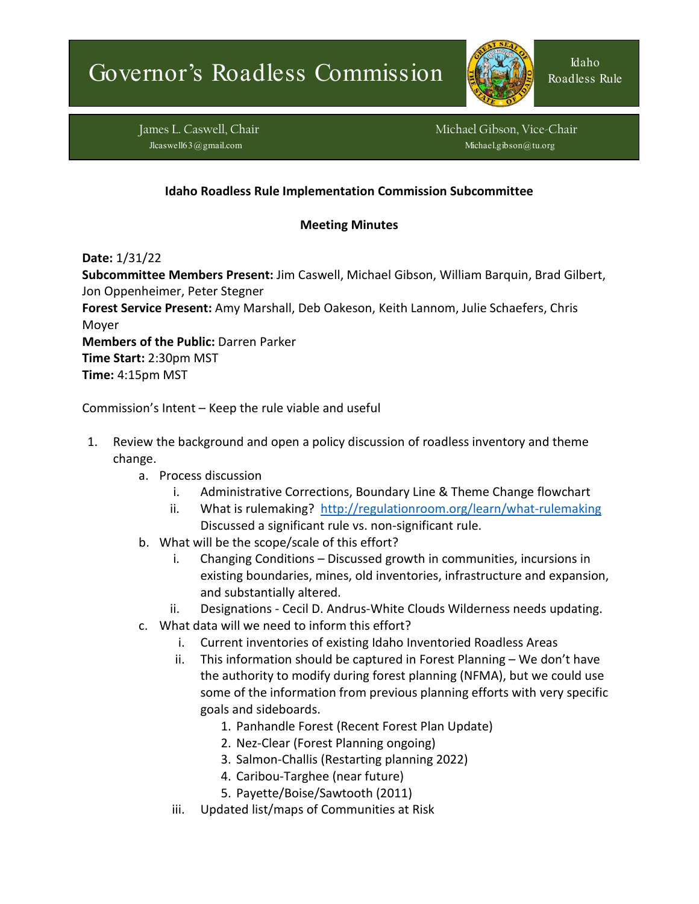

Roadless Rule

James L. Caswell, Chair Michael Gibson, Vice-Chair Michael Gibson, Vice-Chair Jlcaswell63@gmail.com **Michael.gibson@tu.org** Michael.gibson@tu.org

## **Idaho Roadless Rule Implementation Commission Subcommittee**

## **Meeting Minutes**

**Date:** 1/31/22

**Subcommittee Members Present:** Jim Caswell, Michael Gibson, William Barquin, Brad Gilbert, Jon Oppenheimer, Peter Stegner **Forest Service Present:** Amy Marshall, Deb Oakeson, Keith Lannom, Julie Schaefers, Chris Moyer **Members of the Public:** Darren Parker

**Time Start:** 2:30pm MST **Time:** 4:15pm MST

Commission's Intent – Keep the rule viable and useful

- 1. Review the background and open a policy discussion of roadless inventory and theme change.
	- a. Process discussion
		- i. Administrative Corrections, Boundary Line & Theme Change flowchart
		- ii. What is rulemaking? <http://regulationroom.org/learn/what-rulemaking> Discussed a significant rule vs. non-significant rule.
	- b. What will be the scope/scale of this effort?
		- i. Changing Conditions Discussed growth in communities, incursions in existing boundaries, mines, old inventories, infrastructure and expansion, and substantially altered.
		- ii. Designations Cecil D. Andrus-White Clouds Wilderness needs updating.
	- c. What data will we need to inform this effort?
		- i. Current inventories of existing Idaho Inventoried Roadless Areas
		- ii. This information should be captured in Forest Planning We don't have the authority to modify during forest planning (NFMA), but we could use some of the information from previous planning efforts with very specific goals and sideboards.
			- 1. Panhandle Forest (Recent Forest Plan Update)
			- 2. Nez-Clear (Forest Planning ongoing)
			- 3. Salmon-Challis (Restarting planning 2022)
			- 4. Caribou-Targhee (near future)
			- 5. Payette/Boise/Sawtooth (2011)
		- iii. Updated list/maps of Communities at Risk